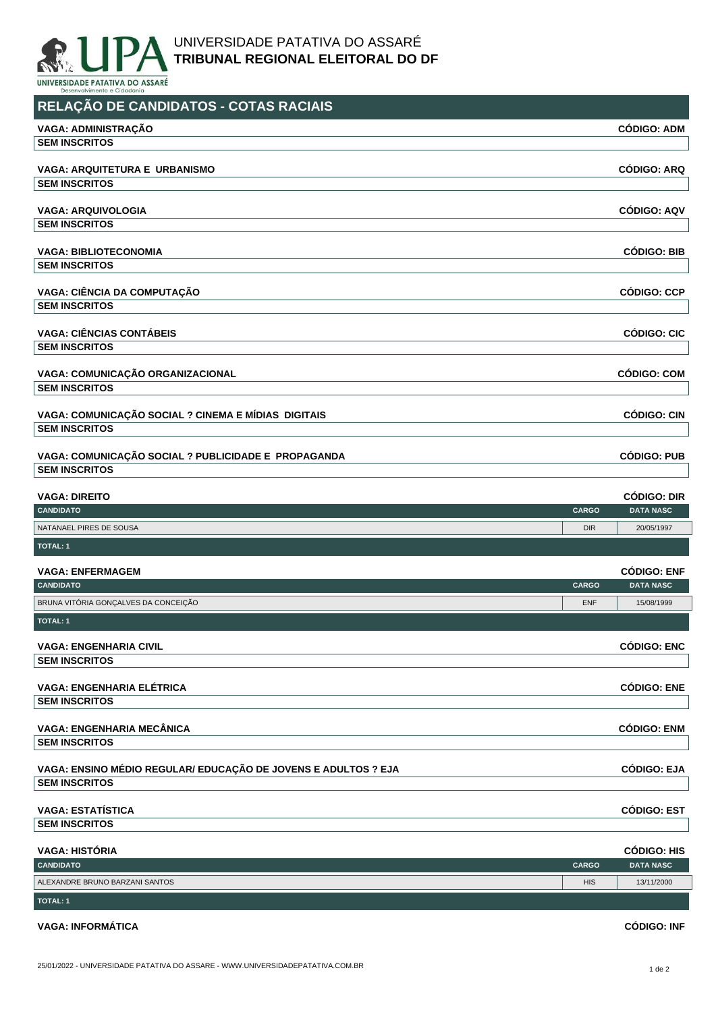

UNIVERSIDADE PATATIVA DO ASSARÉ **TRIBUNAL REGIONAL ELEITORAL DO DF**

UNIVERSIDADE PATATIVA DO ASSARÉ Dese

| RELAÇÃO DE CANDIDATOS - COTAS RACIAIS                          |              |                                        |
|----------------------------------------------------------------|--------------|----------------------------------------|
| VAGA: ADMINISTRAÇÃO                                            |              | <b>CÓDIGO: ADM</b>                     |
| <b>SEM INSCRITOS</b>                                           |              |                                        |
| <b>VAGA: ARQUITETURA E URBANISMO</b>                           |              | <b>CÓDIGO: ARQ</b>                     |
| <b>SEM INSCRITOS</b>                                           |              |                                        |
| <b>VAGA: ARQUIVOLOGIA</b>                                      |              | <b>CÓDIGO: AQV</b>                     |
| <b>SEM INSCRITOS</b>                                           |              |                                        |
| <b>VAGA: BIBLIOTECONOMIA</b>                                   |              | <b>CÓDIGO: BIB</b>                     |
| <b>SEM INSCRITOS</b>                                           |              |                                        |
| VAGA: CIÊNCIA DA COMPUTAÇÃO                                    |              | <b>CÓDIGO: CCP</b>                     |
| <b>SEM INSCRITOS</b>                                           |              |                                        |
|                                                                |              |                                        |
| <b>VAGA: CIÊNCIAS CONTÁBEIS</b>                                |              | <b>CÓDIGO: CIC</b>                     |
| <b>SEM INSCRITOS</b>                                           |              |                                        |
| VAGA: COMUNICAÇÃO ORGANIZACIONAL                               |              | <b>CÓDIGO: COM</b>                     |
| <b>SEM INSCRITOS</b>                                           |              |                                        |
| VAGA: COMUNICAÇÃO SOCIAL ? CINEMA E MÍDIAS DIGITAIS            |              | <b>CÓDIGO: CIN</b>                     |
| <b>SEM INSCRITOS</b>                                           |              |                                        |
|                                                                |              |                                        |
| VAGA: COMUNICAÇÃO SOCIAL ? PUBLICIDADE E PROPAGANDA            |              | <b>CÓDIGO: PUB</b>                     |
| <b>SEM INSCRITOS</b>                                           |              |                                        |
| <b>VAGA: DIREITO</b>                                           |              | <b>CÓDIGO: DIR</b>                     |
| <b>CANDIDATO</b>                                               | <b>CARGO</b> | <b>DATA NASC</b>                       |
| NATANAEL PIRES DE SOUSA                                        | <b>DIR</b>   | 20/05/1997                             |
| <b>TOTAL: 1</b>                                                |              |                                        |
| <b>VAGA: ENFERMAGEM</b>                                        |              | <b>CÓDIGO: ENF</b>                     |
| CANDIDATO                                                      | <b>CARGO</b> | <b>DATA NASC</b>                       |
| BRUNA VITÓRIA GONÇALVES DA CONCEIÇÃO                           | <b>ENF</b>   | 15/08/1999                             |
| <b>TOTAL: 1</b>                                                |              |                                        |
|                                                                |              |                                        |
| <b>VAGA: ENGENHARIA CIVIL</b><br><b>SEM INSCRITOS</b>          |              | <b>CÓDIGO: ENC</b>                     |
|                                                                |              |                                        |
| <b>VAGA: ENGENHARIA ELÉTRICA</b>                               |              | <b>CÓDIGO: ENE</b>                     |
| <b>SEM INSCRITOS</b>                                           |              |                                        |
| <b>VAGA: ENGENHARIA MECÂNICA</b>                               |              | <b>CÓDIGO: ENM</b>                     |
| <b>SEM INSCRITOS</b>                                           |              |                                        |
|                                                                |              |                                        |
|                                                                |              | <b>CÓDIGO: EJA</b>                     |
| VAGA: ENSINO MÉDIO REGULAR/ EDUCAÇÃO DE JOVENS E ADULTOS ? EJA |              |                                        |
| <b>SEM INSCRITOS</b>                                           |              |                                        |
| <b>VAGA: ESTATÍSTICA</b>                                       |              | <b>CÓDIGO: EST</b>                     |
| <b>SEM INSCRITOS</b>                                           |              |                                        |
| <b>VAGA: HISTÓRIA</b>                                          |              |                                        |
| <b>CANDIDATO</b>                                               | CARGO        | <b>CÓDIGO: HIS</b><br><b>DATA NASC</b> |
| ALEXANDRE BRUNO BARZANI SANTOS                                 | <b>HIS</b>   | 13/11/2000                             |

## **VAGA: INFORMÁTICA CÓDIGO: INF**